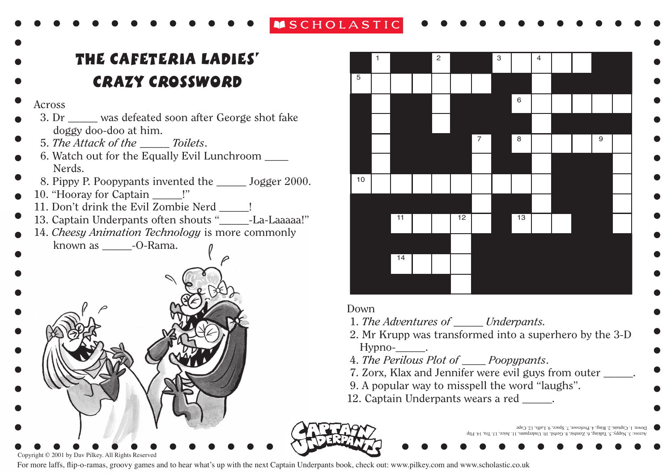## **NSCHOLASTIC**

the cafethalant entre crazy crossoword

- Across
- 3. Dr \_\_\_\_\_ was defeated soon after George shot fake doggy doo-doo at him.
- 5. *The Attack of the \_\_\_\_\_ Toilets*.
- 6. Watch out for the Equally Evil Lunchroom \_\_\_\_ Nerds.
- 8. Pippy P. Poopypants invented the \_\_\_\_\_ Jogger 2000.
- 10. "Hooray for Captain \_\_\_\_\_!"
	- 11. Don't drink the Evil Zombie Nerd !
- 13. Captain Underpants often shouts "\_\_\_\_\_-La-Laaaaa!"
- 14. *Cheesy Animation Technology* is more commonly known as  $\qquad$  -O-Rama.





For more laffs, flip-o-ramas, groovy games and to hear what's up with the next Captain Underpants book, check out: www.pilkey.com and www.scholastic.co.uk